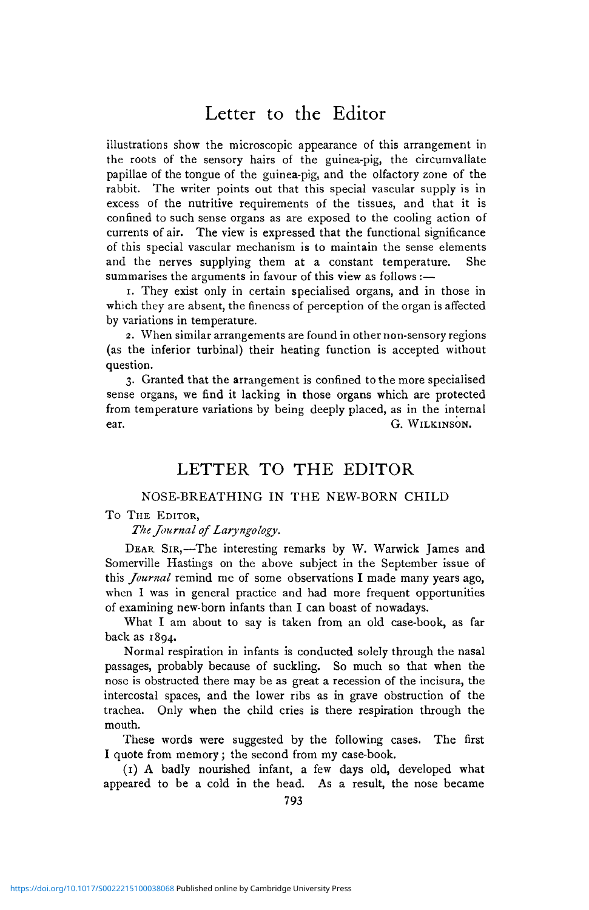## Letter to the Editor

illustrations show the microscopic appearance of this arrangement in the roots of the sensory hairs of the guinea-pig, the circumvallate papillae of the tongue of the guinea-pig, and the olfactory zone of the rabbit. The writer points out that this special vascular supply is in excess of the nutritive requirements of the tissues, and that it is confined to such sense organs as are exposed to the cooling action of currents of air. The view is expressed that the functional significance of this special vascular mechanism is to maintain the sense elements and the nerves supplying them at a constant temperature. She summarises the arguments in favour of this view as follows :-

1. They exist only in certain specialised organs, and in those in which they are absent, the fineness of perception of the organ is affected by variations in temperature.

2. When similar arrangements are found in other non-sensory regions (as the inferior turbinal) their heating function is accepted without question.

3. Granted that the arrangement is confined to the more specialised sense organs, we find it lacking in those organs which are protected from temperature variations by being deeply placed, as in the internal ear. G. WILKINSON.

### LETTER TO THE EDITOR

### NOSE-BREATHING IN THE NEW-BORN CHILD

#### To THE EDITOR,

*The Journal of Laryngology.*

DEAR SIR,—The interesting remarks by W. Warwick James and Somerville Hastings on the above subject in the September issue of this *Journal* remind me of some observations I made many years ago, when I was in general practice and had more frequent opportunities of examining new-born infants than I can boast of nowadays.

What I am about to say is taken from an old case-book, as far back as 1894.

Normal respiration in infants is conducted solely through the nasal passages, probably because of suckling. So much so that when the nose is obstructed there may be as great a recession of the incisura, the intercostal spaces, and the lower ribs as in grave obstruction of the trachea. Only when the child cries is there respiration through the mouth.

These words were suggested by the following cases. The first I quote from memory; the second from my case-book.

(1) A badly nourished infant, a few days old, developed what appeared to be a cold in the head. As a result, the nose became